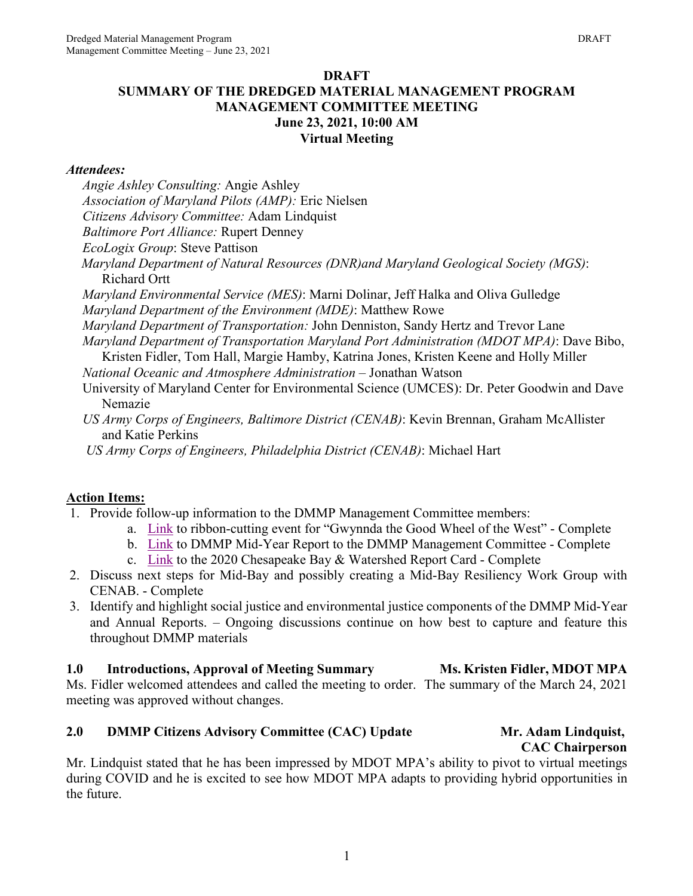## **DRAFT SUMMARY OF THE DREDGED MATERIAL MANAGEMENT PROGRAM MANAGEMENT COMMITTEE MEETING June 23, 2021, 10:00 AM Virtual Meeting**

## *Attendees:*

- *Angie Ashley Consulting:* Angie Ashley
- *Association of Maryland Pilots (AMP):* Eric Nielsen
- *Citizens Advisory Committee:* Adam Lindquist
- *Baltimore Port Alliance:* Rupert Denney
- *EcoLogix Group*: Steve Pattison
- *Maryland Department of Natural Resources (DNR)and Maryland Geological Society (MGS)*: Richard Ortt
- *Maryland Environmental Service (MES)*: Marni Dolinar, Jeff Halka and Oliva Gulledge *Maryland Department of the Environment (MDE)*: Matthew Rowe
- *Maryland Department of Transportation:* John Denniston, Sandy Hertz and Trevor Lane
- *Maryland Department of Transportation Maryland Port Administration (MDOT MPA)*: Dave Bibo,
- Kristen Fidler, Tom Hall, Margie Hamby, Katrina Jones, Kristen Keene and Holly Miller *National Oceanic and Atmosphere Administration –* Jonathan Watson
- University of Maryland Center for Environmental Science (UMCES): Dr. Peter Goodwin and Dave Nemazie
- *US Army Corps of Engineers, Baltimore District (CENAB)*: Kevin Brennan, Graham McAllister and Katie Perkins
- *US Army Corps of Engineers, Philadelphia District (CENAB)*: Michael Hart

## **Action Items:**

- 1. Provide follow-up information to the DMMP Management Committee members:
	- a. [Link](https://www.youtube.com/watch?v=8yIX7HEW8JE) to ribbon-cutting event for "Gwynnda the Good Wheel of the West" Complete
	- b. [Link](https://drive.google.com/drive/folders/1dPendOYfb9fTr68UOI1hKqb6vZZIUehG?usp=sharing) to DMMP Mid-Year Report to the DMMP Management Committee Complete
	- c. [Link](https://ecoreportcard.org/report-cards/chesapeake-bay/publications/2020-chesapeake-bay-watershed-report-card/) to the 2020 Chesapeake Bay & Watershed Report Card Complete
- 2. Discuss next steps for Mid-Bay and possibly creating a Mid-Bay Resiliency Work Group with CENAB. - Complete
- 3. Identify and highlight social justice and environmental justice components of the DMMP Mid-Year and Annual Reports. – Ongoing discussions continue on how best to capture and feature this throughout DMMP materials

# **1.0 Introductions, Approval of Meeting Summary MS. Kristen Fidler, MDOT MPA**

Ms. Fidler welcomed attendees and called the meeting to order. The summary of the March 24, 2021 meeting was approved without changes.

# **2.0 DMMP Citizens Advisory Committee (CAC) Update Mr. Adam Lindquist,**

**CAC Chairperson**

Mr. Lindquist stated that he has been impressed by MDOT MPA's ability to pivot to virtual meetings during COVID and he is excited to see how MDOT MPA adapts to providing hybrid opportunities in the future.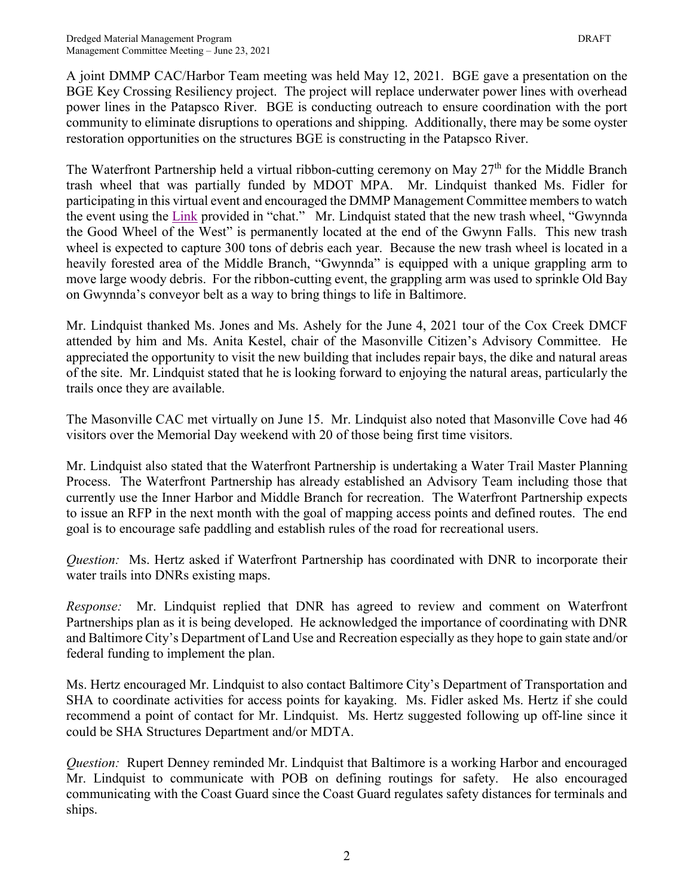A joint DMMP CAC/Harbor Team meeting was held May 12, 2021. BGE gave a presentation on the BGE Key Crossing Resiliency project. The project will replace underwater power lines with overhead power lines in the Patapsco River. BGE is conducting outreach to ensure coordination with the port community to eliminate disruptions to operations and shipping. Additionally, there may be some oyster restoration opportunities on the structures BGE is constructing in the Patapsco River.

The Waterfront Partnership held a virtual ribbon-cutting ceremony on May  $27<sup>th</sup>$  for the Middle Branch trash wheel that was partially funded by MDOT MPA. Mr. Lindquist thanked Ms. Fidler for participating in this virtual event and encouraged the DMMP Management Committee members to watch the event using the [Link](https://www.youtube.com/watch?v=8yIX7HEW8JE) provided in "chat." Mr. Lindquist stated that the new trash wheel, "Gwynnda the Good Wheel of the West" is permanently located at the end of the Gwynn Falls. This new trash wheel is expected to capture 300 tons of debris each year. Because the new trash wheel is located in a heavily forested area of the Middle Branch, "Gwynnda" is equipped with a unique grappling arm to move large woody debris. For the ribbon-cutting event, the grappling arm was used to sprinkle Old Bay on Gwynnda's conveyor belt as a way to bring things to life in Baltimore.

Mr. Lindquist thanked Ms. Jones and Ms. Ashely for the June 4, 2021 tour of the Cox Creek DMCF attended by him and Ms. Anita Kestel, chair of the Masonville Citizen's Advisory Committee. He appreciated the opportunity to visit the new building that includes repair bays, the dike and natural areas of the site. Mr. Lindquist stated that he is looking forward to enjoying the natural areas, particularly the trails once they are available.

The Masonville CAC met virtually on June 15. Mr. Lindquist also noted that Masonville Cove had 46 visitors over the Memorial Day weekend with 20 of those being first time visitors.

Mr. Lindquist also stated that the Waterfront Partnership is undertaking a Water Trail Master Planning Process. The Waterfront Partnership has already established an Advisory Team including those that currently use the Inner Harbor and Middle Branch for recreation. The Waterfront Partnership expects to issue an RFP in the next month with the goal of mapping access points and defined routes. The end goal is to encourage safe paddling and establish rules of the road for recreational users.

*Question:* Ms. Hertz asked if Waterfront Partnership has coordinated with DNR to incorporate their water trails into DNRs existing maps.

*Response:* Mr. Lindquist replied that DNR has agreed to review and comment on Waterfront Partnerships plan as it is being developed. He acknowledged the importance of coordinating with DNR and Baltimore City's Department of Land Use and Recreation especially as they hope to gain state and/or federal funding to implement the plan.

Ms. Hertz encouraged Mr. Lindquist to also contact Baltimore City's Department of Transportation and SHA to coordinate activities for access points for kayaking. Ms. Fidler asked Ms. Hertz if she could recommend a point of contact for Mr. Lindquist. Ms. Hertz suggested following up off-line since it could be SHA Structures Department and/or MDTA.

*Question:* Rupert Denney reminded Mr. Lindquist that Baltimore is a working Harbor and encouraged Mr. Lindquist to communicate with POB on defining routings for safety. He also encouraged communicating with the Coast Guard since the Coast Guard regulates safety distances for terminals and ships.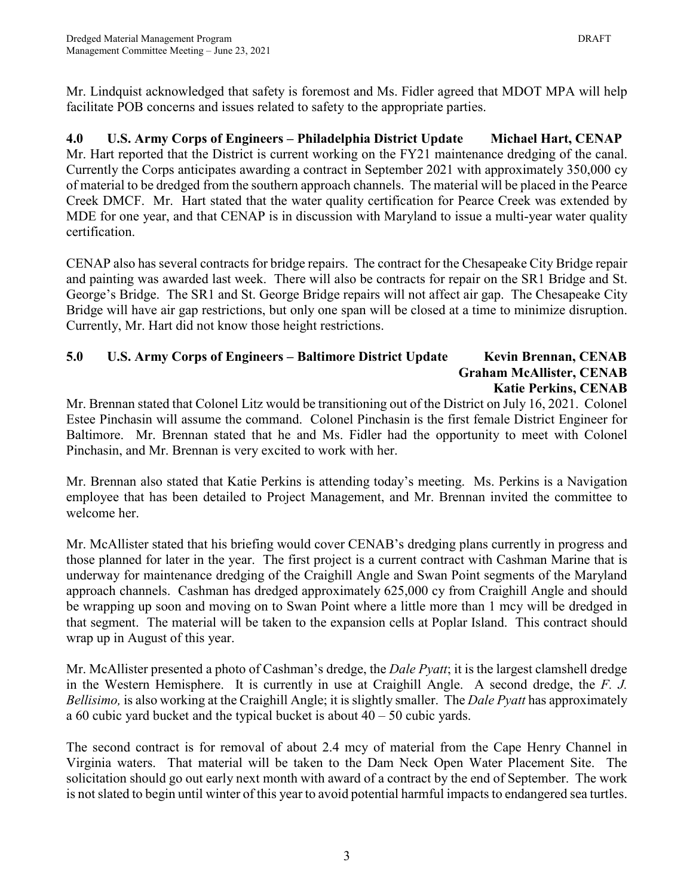Mr. Lindquist acknowledged that safety is foremost and Ms. Fidler agreed that MDOT MPA will help facilitate POB concerns and issues related to safety to the appropriate parties.

**4.0 U.S. Army Corps of Engineers – Philadelphia District Update Michael Hart, CENAP** Mr. Hart reported that the District is current working on the FY21 maintenance dredging of the canal. Currently the Corps anticipates awarding a contract in September 2021 with approximately 350,000 cy of material to be dredged from the southern approach channels. The material will be placed in the Pearce Creek DMCF. Mr. Hart stated that the water quality certification for Pearce Creek was extended by MDE for one year, and that CENAP is in discussion with Maryland to issue a multi-year water quality certification.

CENAP also has several contracts for bridge repairs. The contract for the Chesapeake City Bridge repair and painting was awarded last week. There will also be contracts for repair on the SR1 Bridge and St. George's Bridge. The SR1 and St. George Bridge repairs will not affect air gap. The Chesapeake City Bridge will have air gap restrictions, but only one span will be closed at a time to minimize disruption. Currently, Mr. Hart did not know those height restrictions.

## **5.0 U.S. Army Corps of Engineers – Baltimore District Update Kevin Brennan, CENAB Graham McAllister, CENAB Katie Perkins, CENAB**

Mr. Brennan stated that Colonel Litz would be transitioning out of the District on July 16, 2021. Colonel Estee Pinchasin will assume the command. Colonel Pinchasin is the first female District Engineer for Baltimore. Mr. Brennan stated that he and Ms. Fidler had the opportunity to meet with Colonel Pinchasin, and Mr. Brennan is very excited to work with her.

Mr. Brennan also stated that Katie Perkins is attending today's meeting. Ms. Perkins is a Navigation employee that has been detailed to Project Management, and Mr. Brennan invited the committee to welcome her.

Mr. McAllister stated that his briefing would cover CENAB's dredging plans currently in progress and those planned for later in the year. The first project is a current contract with Cashman Marine that is underway for maintenance dredging of the Craighill Angle and Swan Point segments of the Maryland approach channels. Cashman has dredged approximately 625,000 cy from Craighill Angle and should be wrapping up soon and moving on to Swan Point where a little more than 1 mcy will be dredged in that segment. The material will be taken to the expansion cells at Poplar Island. This contract should wrap up in August of this year.

Mr. McAllister presented a photo of Cashman's dredge, the *Dale Pyatt*; it is the largest clamshell dredge in the Western Hemisphere. It is currently in use at Craighill Angle. A second dredge, the *F. J. Bellisimo,* is also working at the Craighill Angle; it is slightly smaller. The *Dale Pyatt* has approximately a 60 cubic yard bucket and the typical bucket is about  $40 - 50$  cubic yards.

The second contract is for removal of about 2.4 mcy of material from the Cape Henry Channel in Virginia waters. That material will be taken to the Dam Neck Open Water Placement Site. The solicitation should go out early next month with award of a contract by the end of September. The work is not slated to begin until winter of this year to avoid potential harmful impacts to endangered sea turtles.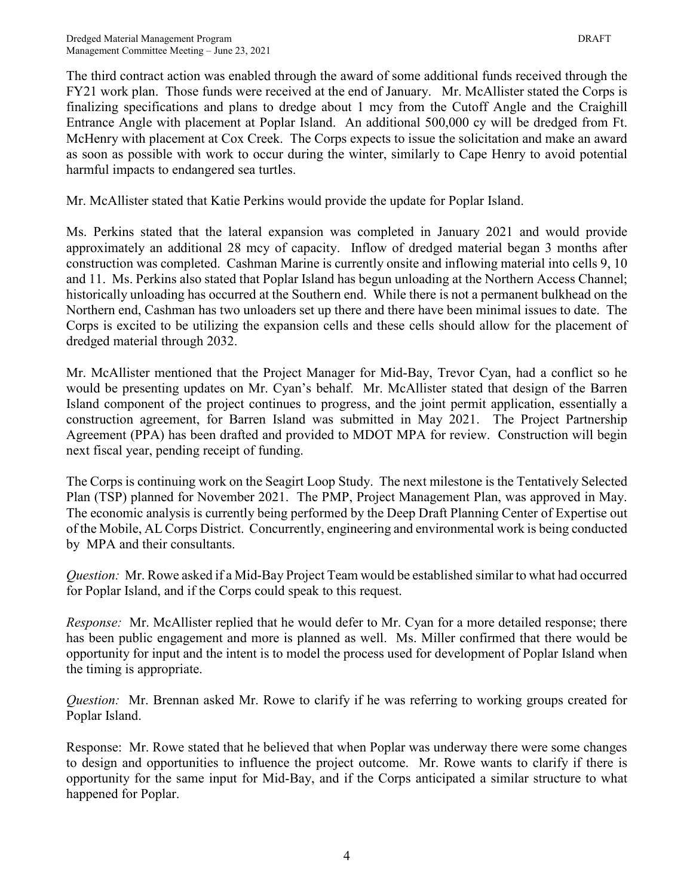The third contract action was enabled through the award of some additional funds received through the FY21 work plan. Those funds were received at the end of January. Mr. McAllister stated the Corps is finalizing specifications and plans to dredge about 1 mcy from the Cutoff Angle and the Craighill Entrance Angle with placement at Poplar Island. An additional 500,000 cy will be dredged from Ft. McHenry with placement at Cox Creek. The Corps expects to issue the solicitation and make an award as soon as possible with work to occur during the winter, similarly to Cape Henry to avoid potential harmful impacts to endangered sea turtles.

Mr. McAllister stated that Katie Perkins would provide the update for Poplar Island.

Ms. Perkins stated that the lateral expansion was completed in January 2021 and would provide approximately an additional 28 mcy of capacity. Inflow of dredged material began 3 months after construction was completed. Cashman Marine is currently onsite and inflowing material into cells 9, 10 and 11. Ms. Perkins also stated that Poplar Island has begun unloading at the Northern Access Channel; historically unloading has occurred at the Southern end. While there is not a permanent bulkhead on the Northern end, Cashman has two unloaders set up there and there have been minimal issues to date. The Corps is excited to be utilizing the expansion cells and these cells should allow for the placement of dredged material through 2032.

Mr. McAllister mentioned that the Project Manager for Mid-Bay, Trevor Cyan, had a conflict so he would be presenting updates on Mr. Cyan's behalf. Mr. McAllister stated that design of the Barren Island component of the project continues to progress, and the joint permit application, essentially a construction agreement, for Barren Island was submitted in May 2021. The Project Partnership Agreement (PPA) has been drafted and provided to MDOT MPA for review. Construction will begin next fiscal year, pending receipt of funding.

The Corps is continuing work on the Seagirt Loop Study. The next milestone is the Tentatively Selected Plan (TSP) planned for November 2021. The PMP, Project Management Plan, was approved in May. The economic analysis is currently being performed by the Deep Draft Planning Center of Expertise out of the Mobile, AL Corps District. Concurrently, engineering and environmental work is being conducted by MPA and their consultants.

*Question:* Mr. Rowe asked if a Mid-Bay Project Team would be established similar to what had occurred for Poplar Island, and if the Corps could speak to this request.

*Response:* Mr. McAllister replied that he would defer to Mr. Cyan for a more detailed response; there has been public engagement and more is planned as well. Ms. Miller confirmed that there would be opportunity for input and the intent is to model the process used for development of Poplar Island when the timing is appropriate.

*Question:* Mr. Brennan asked Mr. Rowe to clarify if he was referring to working groups created for Poplar Island.

Response: Mr. Rowe stated that he believed that when Poplar was underway there were some changes to design and opportunities to influence the project outcome. Mr. Rowe wants to clarify if there is opportunity for the same input for Mid-Bay, and if the Corps anticipated a similar structure to what happened for Poplar.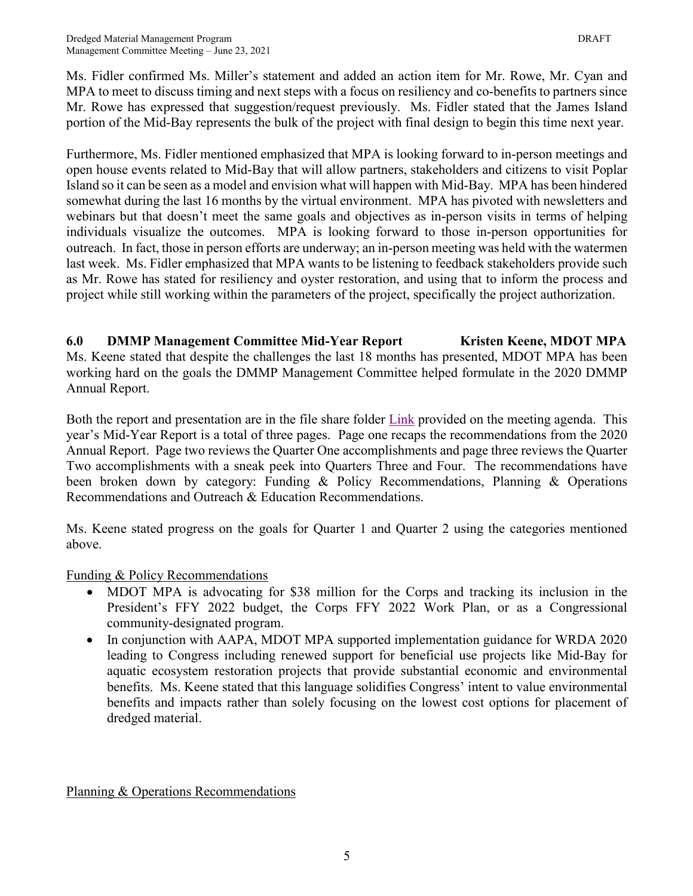Ms. Fidler confirmed Ms. Miller's statement and added an action item for Mr. Rowe, Mr. Cyan and MPA to meet to discuss timing and next steps with a focus on resiliency and co-benefits to partners since Mr. Rowe has expressed that suggestion/request previously. Ms. Fidler stated that the James Island portion of the Mid-Bay represents the bulk of the project with final design to begin this time next year.

Furthermore, Ms. Fidler mentioned emphasized that MPA is looking forward to in-person meetings and open house events related to Mid-Bay that will allow partners, stakeholders and citizens to visit Poplar Island so it can be seen as a model and envision what will happen with Mid-Bay. MPA has been hindered somewhat during the last 16 months by the virtual environment. MPA has pivoted with newsletters and webinars but that doesn't meet the same goals and objectives as in-person visits in terms of helping individuals visualize the outcomes. MPA is looking forward to those in-person opportunities for outreach. In fact, those in person efforts are underway; an in-person meeting was held with the watermen last week. Ms. Fidler emphasized that MPA wants to be listening to feedback stakeholders provide such as Mr. Rowe has stated for resiliency and oyster restoration, and using that to inform the process and project while still working within the parameters of the project, specifically the project authorization.

## **6.0 DMMP Management Committee Mid-Year Report Kristen Keene, MDOT MPA**

Ms. Keene stated that despite the challenges the last 18 months has presented, MDOT MPA has been working hard on the goals the DMMP Management Committee helped formulate in the 2020 DMMP Annual Report.

Both the report and presentation are in the file share folder [Link](https://drive.google.com/drive/folders/1dPendOYfb9fTr68UOI1hKqb6vZZIUehG?usp=sharing) provided on the meeting agenda. This year's Mid-Year Report is a total of three pages. Page one recaps the recommendations from the 2020 Annual Report. Page two reviews the Quarter One accomplishments and page three reviews the Quarter Two accomplishments with a sneak peek into Quarters Three and Four. The recommendations have been broken down by category: Funding & Policy Recommendations, Planning & Operations Recommendations and Outreach & Education Recommendations.

Ms. Keene stated progress on the goals for Quarter 1 and Quarter 2 using the categories mentioned above.

Funding & Policy Recommendations

- MDOT MPA is advocating for \$38 million for the Corps and tracking its inclusion in the President's FFY 2022 budget, the Corps FFY 2022 Work Plan, or as a Congressional community-designated program.
- In conjunction with AAPA, MDOT MPA supported implementation guidance for WRDA 2020 leading to Congress including renewed support for beneficial use projects like Mid-Bay for aquatic ecosystem restoration projects that provide substantial economic and environmental benefits. Ms. Keene stated that this language solidifies Congress' intent to value environmental benefits and impacts rather than solely focusing on the lowest cost options for placement of dredged material.

Planning & Operations Recommendations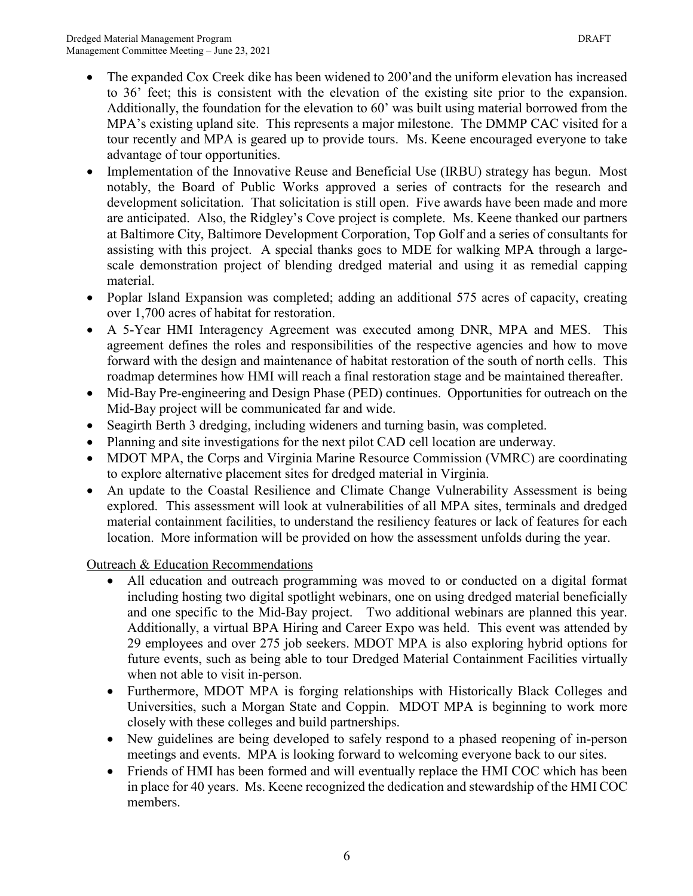- The expanded Cox Creek dike has been widened to 200'and the uniform elevation has increased
- to 36' feet; this is consistent with the elevation of the existing site prior to the expansion. Additionally, the foundation for the elevation to 60' was built using material borrowed from the MPA's existing upland site. This represents a major milestone. The DMMP CAC visited for a tour recently and MPA is geared up to provide tours. Ms. Keene encouraged everyone to take advantage of tour opportunities.
- Implementation of the Innovative Reuse and Beneficial Use (IRBU) strategy has begun. Most notably, the Board of Public Works approved a series of contracts for the research and development solicitation. That solicitation is still open. Five awards have been made and more are anticipated. Also, the Ridgley's Cove project is complete. Ms. Keene thanked our partners at Baltimore City, Baltimore Development Corporation, Top Golf and a series of consultants for assisting with this project. A special thanks goes to MDE for walking MPA through a largescale demonstration project of blending dredged material and using it as remedial capping material.
- Poplar Island Expansion was completed; adding an additional 575 acres of capacity, creating over 1,700 acres of habitat for restoration.
- A 5-Year HMI Interagency Agreement was executed among DNR, MPA and MES. This agreement defines the roles and responsibilities of the respective agencies and how to move forward with the design and maintenance of habitat restoration of the south of north cells. This roadmap determines how HMI will reach a final restoration stage and be maintained thereafter.
- Mid-Bay Pre-engineering and Design Phase (PED) continues. Opportunities for outreach on the Mid-Bay project will be communicated far and wide.
- Seagirth Berth 3 dredging, including wideners and turning basin, was completed.
- Planning and site investigations for the next pilot CAD cell location are underway.
- MDOT MPA, the Corps and Virginia Marine Resource Commission (VMRC) are coordinating to explore alternative placement sites for dredged material in Virginia.
- An update to the Coastal Resilience and Climate Change Vulnerability Assessment is being explored. This assessment will look at vulnerabilities of all MPA sites, terminals and dredged material containment facilities, to understand the resiliency features or lack of features for each location. More information will be provided on how the assessment unfolds during the year.

Outreach & Education Recommendations

- All education and outreach programming was moved to or conducted on a digital format including hosting two digital spotlight webinars, one on using dredged material beneficially and one specific to the Mid-Bay project. Two additional webinars are planned this year. Additionally, a virtual BPA Hiring and Career Expo was held. This event was attended by 29 employees and over 275 job seekers. MDOT MPA is also exploring hybrid options for future events, such as being able to tour Dredged Material Containment Facilities virtually when not able to visit in-person.
- Furthermore, MDOT MPA is forging relationships with Historically Black Colleges and Universities, such a Morgan State and Coppin. MDOT MPA is beginning to work more closely with these colleges and build partnerships.
- New guidelines are being developed to safely respond to a phased reopening of in-person meetings and events. MPA is looking forward to welcoming everyone back to our sites.
- Friends of HMI has been formed and will eventually replace the HMI COC which has been in place for 40 years. Ms. Keene recognized the dedication and stewardship of the HMI COC members.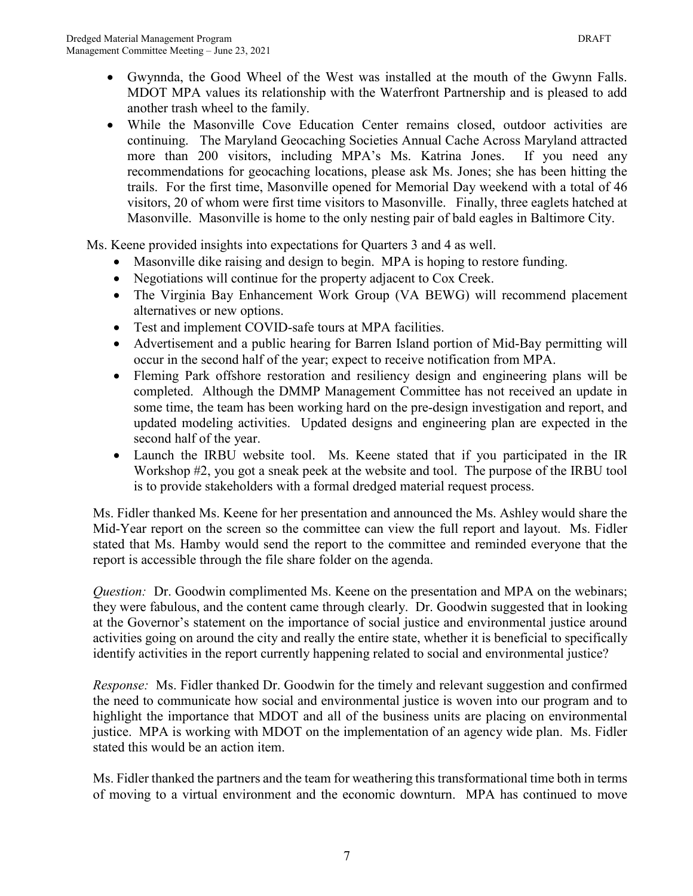- Gwynnda, the Good Wheel of the West was installed at the mouth of the Gwynn Falls. MDOT MPA values its relationship with the Waterfront Partnership and is pleased to add another trash wheel to the family.
- While the Masonville Cove Education Center remains closed, outdoor activities are continuing. The Maryland Geocaching Societies Annual Cache Across Maryland attracted more than 200 visitors, including MPA's Ms. Katrina Jones. If you need any recommendations for geocaching locations, please ask Ms. Jones; she has been hitting the trails. For the first time, Masonville opened for Memorial Day weekend with a total of 46 visitors, 20 of whom were first time visitors to Masonville. Finally, three eaglets hatched at Masonville. Masonville is home to the only nesting pair of bald eagles in Baltimore City.

Ms. Keene provided insights into expectations for Quarters 3 and 4 as well.

- Masonville dike raising and design to begin. MPA is hoping to restore funding.
- Negotiations will continue for the property adjacent to Cox Creek.
- The Virginia Bay Enhancement Work Group (VA BEWG) will recommend placement alternatives or new options.
- Test and implement COVID-safe tours at MPA facilities.
- Advertisement and a public hearing for Barren Island portion of Mid-Bay permitting will occur in the second half of the year; expect to receive notification from MPA.
- Fleming Park offshore restoration and resiliency design and engineering plans will be completed. Although the DMMP Management Committee has not received an update in some time, the team has been working hard on the pre-design investigation and report, and updated modeling activities. Updated designs and engineering plan are expected in the second half of the year.
- Launch the IRBU website tool. Ms. Keene stated that if you participated in the IR Workshop #2, you got a sneak peek at the website and tool. The purpose of the IRBU tool is to provide stakeholders with a formal dredged material request process.

Ms. Fidler thanked Ms. Keene for her presentation and announced the Ms. Ashley would share the Mid-Year report on the screen so the committee can view the full report and layout. Ms. Fidler stated that Ms. Hamby would send the report to the committee and reminded everyone that the report is accessible through the file share folder on the agenda.

*Question:* Dr. Goodwin complimented Ms. Keene on the presentation and MPA on the webinars; they were fabulous, and the content came through clearly. Dr. Goodwin suggested that in looking at the Governor's statement on the importance of social justice and environmental justice around activities going on around the city and really the entire state, whether it is beneficial to specifically identify activities in the report currently happening related to social and environmental justice?

*Response:* Ms. Fidler thanked Dr. Goodwin for the timely and relevant suggestion and confirmed the need to communicate how social and environmental justice is woven into our program and to highlight the importance that MDOT and all of the business units are placing on environmental justice. MPA is working with MDOT on the implementation of an agency wide plan. Ms. Fidler stated this would be an action item.

Ms. Fidler thanked the partners and the team for weathering this transformational time both in terms of moving to a virtual environment and the economic downturn. MPA has continued to move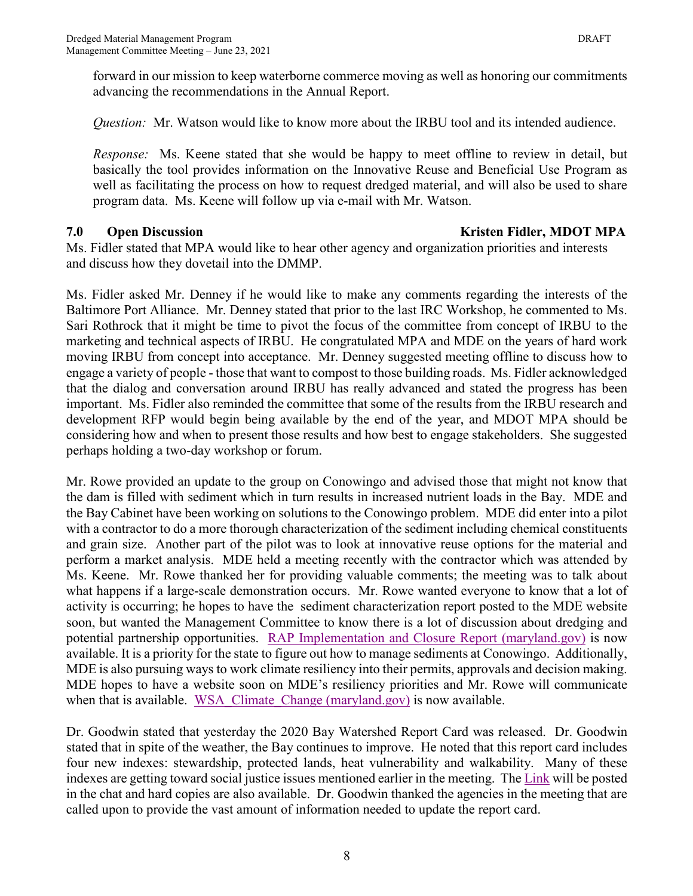forward in our mission to keep waterborne commerce moving as well as honoring our commitments advancing the recommendations in the Annual Report.

*Question:* Mr. Watson would like to know more about the IRBU tool and its intended audience.

*Response:* Ms. Keene stated that she would be happy to meet offline to review in detail, but basically the tool provides information on the Innovative Reuse and Beneficial Use Program as well as facilitating the process on how to request dredged material, and will also be used to share program data. Ms. Keene will follow up via e-mail with Mr. Watson.

#### **7.0 Open Discussion CONSERVING CONSERVING CONSERVING CONSERVATION CONSERVATION CONSERVATION CONSERVATION CONSERVATION CONSERVATION CONSERVATION CONSERVATION CONSERVATION CONSERVATION CONSERVATION CONSERVATION CONSERVA**

Ms. Fidler stated that MPA would like to hear other agency and organization priorities and interests and discuss how they dovetail into the DMMP.

Ms. Fidler asked Mr. Denney if he would like to make any comments regarding the interests of the Baltimore Port Alliance. Mr. Denney stated that prior to the last IRC Workshop, he commented to Ms. Sari Rothrock that it might be time to pivot the focus of the committee from concept of IRBU to the marketing and technical aspects of IRBU. He congratulated MPA and MDE on the years of hard work moving IRBU from concept into acceptance. Mr. Denney suggested meeting offline to discuss how to engage a variety of people - those that want to compost to those building roads. Ms. Fidler acknowledged that the dialog and conversation around IRBU has really advanced and stated the progress has been important. Ms. Fidler also reminded the committee that some of the results from the IRBU research and development RFP would begin being available by the end of the year, and MDOT MPA should be considering how and when to present those results and how best to engage stakeholders. She suggested perhaps holding a two-day workshop or forum.

Mr. Rowe provided an update to the group on Conowingo and advised those that might not know that the dam is filled with sediment which in turn results in increased nutrient loads in the Bay. MDE and the Bay Cabinet have been working on solutions to the Conowingo problem. MDE did enter into a pilot with a contractor to do a more thorough characterization of the sediment including chemical constituents and grain size. Another part of the pilot was to look at innovative reuse options for the material and perform a market analysis. MDE held a meeting recently with the contractor which was attended by Ms. Keene. Mr. Rowe thanked her for providing valuable comments; the meeting was to talk about what happens if a large-scale demonstration occurs. Mr. Rowe wanted everyone to know that a lot of activity is occurring; he hopes to have the sediment characterization report posted to the MDE website soon, but wanted the Management Committee to know there is a lot of discussion about dredging and potential partnership opportunities. [RAP Implementation and Closure Report \(maryland.gov\)](https://gcc02.safelinks.protection.outlook.com/?url=https%3A%2F%2Fmde.maryland.gov%2Fprograms%2FMarylander%2FDocuments%2FFinal%2520Sediment%2520Characterization%2520Report.pdf&data=04%7C01%7Cmhamby%40marylandports.com%7C8ac11cbdf0bc45907d8a08d97867ffa9%7Cb38cd27c57ca4597be2822df43dd47f1%7C0%7C0%7C637673210336043368%7CUnknown%7CTWFpbGZsb3d8eyJWIjoiMC4wLjAwMDAiLCJQIjoiV2luMzIiLCJBTiI6Ik1haWwiLCJXVCI6Mn0%3D%7C1000&sdata=Odo0LdIkwyAkHa7jVjYM5OjGAMEE0qT5jzJtiik5tI4%3D&reserved=0) is now available. It is a priority for the state to figure out how to manage sediments at Conowingo. Additionally, MDE is also pursuing ways to work climate resiliency into their permits, approvals and decision making. MDE hopes to have a website soon on MDE's resiliency priorities and Mr. Rowe will communicate when that is available. WSA Climate Change (maryland.gov) is now available.

Dr. Goodwin stated that yesterday the 2020 Bay Watershed Report Card was released. Dr. Goodwin stated that in spite of the weather, the Bay continues to improve. He noted that this report card includes four new indexes: stewardship, protected lands, heat vulnerability and walkability. Many of these indexes are getting toward social justice issues mentioned earlier in the meeting. The [Link](https://ecoreportcard.org/report-cards/chesapeake-bay/publications/2020-chesapeake-bay-watershed-report-card/) will be posted in the chat and hard copies are also available. Dr. Goodwin thanked the agencies in the meeting that are called upon to provide the vast amount of information needed to update the report card.